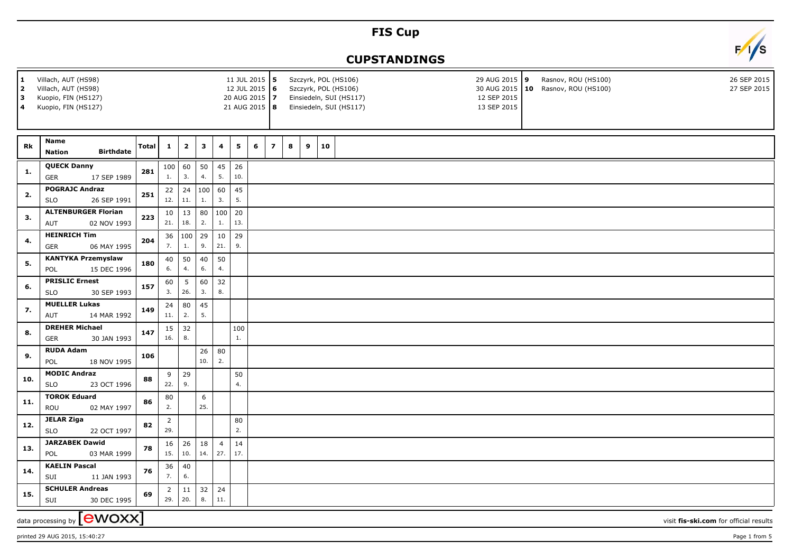## **FIS Cup**



## **CUPSTANDINGS**

| 1<br><u>  2</u><br> з<br>4 | Villach, AUT (HS98)<br>11 JUL 2015 5<br>12 JUL 2015 6<br>Villach, AUT (HS98)<br>Kuopio, FIN (HS127)<br>20 AUG 2015 7<br>21 AUG 2015   8<br>Kuopio, FIN (HS127) |              |                       |                         |              |                       |           |                |                |   |   |    | Rasnov, ROU (HS100)<br>Szczyrk, POL (HS106)<br>29 AUG 2015 9<br>30 AUG 2015   10 Rasnov, ROU (HS100)<br>Szczyrk, POL (HS106)<br>Einsiedeln, SUI (HS117)<br>12 SEP 2015<br>13 SEP 2015<br>Einsiedeln, SUI (HS117) |  |  |  |  |  |  | 26 SEP 2015<br>27 SEP 2015 |  |  |  |                                        |
|----------------------------|----------------------------------------------------------------------------------------------------------------------------------------------------------------|--------------|-----------------------|-------------------------|--------------|-----------------------|-----------|----------------|----------------|---|---|----|------------------------------------------------------------------------------------------------------------------------------------------------------------------------------------------------------------------|--|--|--|--|--|--|----------------------------|--|--|--|----------------------------------------|
| Rk                         | Name<br><b>Birthdate</b><br><b>Nation</b>                                                                                                                      | <b>Total</b> | $\mathbf{1}$          | $\overline{\mathbf{2}}$ | $\mathbf{3}$ | 4                     | 5         | $6\phantom{1}$ | $\overline{z}$ | 8 | 9 | 10 |                                                                                                                                                                                                                  |  |  |  |  |  |  |                            |  |  |  |                                        |
| 1.                         | <b>QUECK Danny</b><br><b>GER</b><br>17 SEP 1989                                                                                                                | 281          | 100<br>1.             | 60<br>3.                | 50<br>4.     | 45<br>5.              | 26<br>10. |                |                |   |   |    |                                                                                                                                                                                                                  |  |  |  |  |  |  |                            |  |  |  |                                        |
| 2.                         | <b>POGRAJC Andraz</b><br>26 SEP 1991<br><b>SLO</b>                                                                                                             | 251          | 22<br>12.             | 24<br>11.               | 100<br>1.    | 60<br>3.              | 45<br>5.  |                |                |   |   |    |                                                                                                                                                                                                                  |  |  |  |  |  |  |                            |  |  |  |                                        |
| 3.                         | <b>ALTENBURGER Florian</b><br>02 NOV 1993<br><b>AUT</b>                                                                                                        | 223          | 10<br>21.             | 13<br>18.               | 80<br>2.     | 100<br>1.             | 20<br>13. |                |                |   |   |    |                                                                                                                                                                                                                  |  |  |  |  |  |  |                            |  |  |  |                                        |
| 4.                         | <b>HEINRICH Tim</b><br><b>GER</b><br>06 MAY 1995                                                                                                               | 204          | 36<br>7.              | 100<br>1.               | 29<br>9.     | 10<br>21.             | 29<br>9.  |                |                |   |   |    |                                                                                                                                                                                                                  |  |  |  |  |  |  |                            |  |  |  |                                        |
| 5.                         | <b>KANTYKA Przemyslaw</b><br>15 DEC 1996<br>POL                                                                                                                | 180          | 40<br>6.              | 50<br>4.                | 40<br>6.     | 50<br>4.              |           |                |                |   |   |    |                                                                                                                                                                                                                  |  |  |  |  |  |  |                            |  |  |  |                                        |
| 6.                         | <b>PRISLIC Ernest</b><br><b>SLO</b><br>30 SEP 1993                                                                                                             | 157          | 60<br>3.              | $5\phantom{.0}$<br>26.  | 60<br>3.     | 32<br>8.              |           |                |                |   |   |    |                                                                                                                                                                                                                  |  |  |  |  |  |  |                            |  |  |  |                                        |
| 7.                         | <b>MUELLER Lukas</b><br><b>AUT</b><br>14 MAR 1992                                                                                                              | 149          | 24<br>11.             | 80<br>2.                | 45<br>5.     |                       |           |                |                |   |   |    |                                                                                                                                                                                                                  |  |  |  |  |  |  |                            |  |  |  |                                        |
| 8.                         | <b>DREHER Michael</b><br><b>GER</b><br>30 JAN 1993                                                                                                             | 147          | 15<br>16.             | 32<br>$\bf 8.$          |              |                       | 100<br>1. |                |                |   |   |    |                                                                                                                                                                                                                  |  |  |  |  |  |  |                            |  |  |  |                                        |
| 9.                         | <b>RUDA Adam</b><br>POL<br>18 NOV 1995                                                                                                                         | 106          |                       |                         | 26<br>10.    | 80<br>2.              |           |                |                |   |   |    |                                                                                                                                                                                                                  |  |  |  |  |  |  |                            |  |  |  |                                        |
| 10.                        | <b>MODIC Andraz</b><br><b>SLO</b><br>23 OCT 1996                                                                                                               | 88           | 9<br>22.              | 29<br>9.                |              |                       | 50<br>4.  |                |                |   |   |    |                                                                                                                                                                                                                  |  |  |  |  |  |  |                            |  |  |  |                                        |
| 11.                        | <b>TOROK Eduard</b><br>ROU<br>02 MAY 1997                                                                                                                      | 86           | 80<br>2.              |                         | 6<br>25.     |                       |           |                |                |   |   |    |                                                                                                                                                                                                                  |  |  |  |  |  |  |                            |  |  |  |                                        |
| 12.                        | <b>JELAR Ziga</b><br><b>SLO</b><br>22 OCT 1997                                                                                                                 | 82           | $\overline{2}$<br>29. |                         |              |                       | 80<br>2.  |                |                |   |   |    |                                                                                                                                                                                                                  |  |  |  |  |  |  |                            |  |  |  |                                        |
| 13.                        | <b>JARZABEK Dawid</b><br>POL<br>03 MAR 1999                                                                                                                    | 78           | 16<br>15.             | 26<br>10.               | 18<br>14.    | $\overline{4}$<br>27. | 14<br>17. |                |                |   |   |    |                                                                                                                                                                                                                  |  |  |  |  |  |  |                            |  |  |  |                                        |
| 14.                        | <b>KAELIN Pascal</b><br>SUI<br>11 JAN 1993                                                                                                                     | 76           | 36<br>7.              | $40\,$<br>6.            |              |                       |           |                |                |   |   |    |                                                                                                                                                                                                                  |  |  |  |  |  |  |                            |  |  |  |                                        |
| 15.                        | <b>SCHULER Andreas</b><br>30 DEC 1995<br>SUI                                                                                                                   | 69           | $\overline{2}$<br>29. | 11<br>20.               | 32<br>8.     | 24<br>11.             |           |                |                |   |   |    |                                                                                                                                                                                                                  |  |  |  |  |  |  |                            |  |  |  |                                        |
|                            | data processing by $\boxed{\text{ewOX}}$                                                                                                                       |              |                       |                         |              |                       |           |                |                |   |   |    |                                                                                                                                                                                                                  |  |  |  |  |  |  |                            |  |  |  | visit fis-ski.com for official results |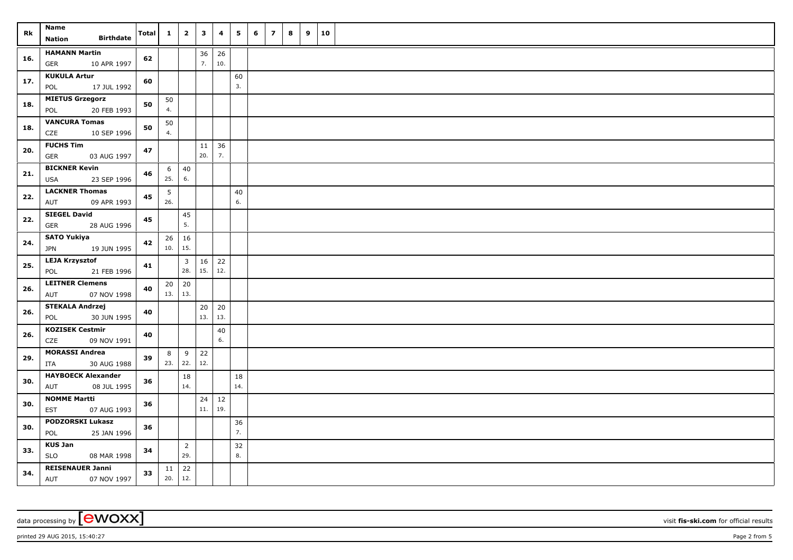| Rk  | <b>Name</b>                                       | Total | $\mathbf{1}$ | $\overline{\mathbf{2}}$        | $\mathbf{3}$ | 4         | 5         | 6 | $\overline{z}$ | 8 | 9 | 10 |  |
|-----|---------------------------------------------------|-------|--------------|--------------------------------|--------------|-----------|-----------|---|----------------|---|---|----|--|
|     | <b>Birthdate</b><br><b>Nation</b>                 |       |              |                                |              |           |           |   |                |   |   |    |  |
| 16. | <b>HAMANN Martin</b><br>10 APR 1997<br>GER        | 62    |              |                                | 36<br>7.     | 26<br>10. |           |   |                |   |   |    |  |
| 17. | <b>KUKULA Artur</b><br>17 JUL 1992<br>POL         | 60    |              |                                |              |           | 60<br>3.  |   |                |   |   |    |  |
| 18. | <b>MIETUS Grzegorz</b><br>POL<br>20 FEB 1993      | 50    | 50<br>4.     |                                |              |           |           |   |                |   |   |    |  |
| 18. | <b>VANCURA Tomas</b><br>CZE<br>10 SEP 1996        | 50    | 50<br>4.     |                                |              |           |           |   |                |   |   |    |  |
| 20. | <b>FUCHS Tim</b><br>03 AUG 1997<br>GER            | 47    |              |                                | 11<br>20.    | 36<br>7.  |           |   |                |   |   |    |  |
| 21. | <b>BICKNER Kevin</b><br>23 SEP 1996<br><b>USA</b> | 46    | 6<br>25.     | 40<br>6.                       |              |           |           |   |                |   |   |    |  |
| 22. | <b>LACKNER Thomas</b><br>09 APR 1993<br>AUT       | 45    | 5<br>26.     |                                |              |           | 40<br>6.  |   |                |   |   |    |  |
| 22. | <b>SIEGEL David</b><br>GER<br>28 AUG 1996         | 45    |              | 45<br>5.                       |              |           |           |   |                |   |   |    |  |
| 24. | <b>SATO Yukiya</b><br><b>JPN</b><br>19 JUN 1995   | 42    | 26<br>10.    | 16<br>15.                      |              |           |           |   |                |   |   |    |  |
| 25. | <b>LEJA Krzysztof</b><br>POL<br>21 FEB 1996       | 41    |              | $\overline{\mathbf{3}}$<br>28. | 16<br>15.    | 22<br>12. |           |   |                |   |   |    |  |
| 26. | <b>LEITNER Clemens</b><br>AUT<br>07 NOV 1998      | 40    | 20<br>13.    | 20<br>13.                      |              |           |           |   |                |   |   |    |  |
| 26. | <b>STEKALA Andrzej</b><br>30 JUN 1995<br>POL      | 40    |              |                                | 20<br>13.    | 20<br>13. |           |   |                |   |   |    |  |
| 26. | <b>KOZISEK Cestmir</b><br>CZE<br>09 NOV 1991      | 40    |              |                                |              | 40<br>6.  |           |   |                |   |   |    |  |
| 29. | <b>MORASSI Andrea</b><br>30 AUG 1988<br>ITA       | 39    | 8<br>23.     | 9<br>22.                       | 22<br>12.    |           |           |   |                |   |   |    |  |
| 30. | <b>HAYBOECK Alexander</b><br>08 JUL 1995<br>AUT   | 36    |              | 18<br>14.                      |              |           | 18<br>14. |   |                |   |   |    |  |
| 30. | <b>NOMME Martti</b><br>07 AUG 1993<br>EST         | 36    |              |                                | 24<br>11.    | 12<br>19. |           |   |                |   |   |    |  |
| 30. | <b>PODZORSKI Lukasz</b><br>POL<br>25 JAN 1996     | 36    |              |                                |              |           | 36<br>7.  |   |                |   |   |    |  |
| 33. | <b>KUS Jan</b><br><b>SLO</b><br>08 MAR 1998       | 34    |              | $\overline{2}$<br>29.          |              |           | 32<br>8.  |   |                |   |   |    |  |
| 34. | <b>REISENAUER Janni</b><br>AUT<br>07 NOV 1997     | 33    | 11<br>20.    | 22 <br>12.                     |              |           |           |   |                |   |   |    |  |

data processing by **CWOXX** visit **fis-ski.com** for official results

printed 29 AUG 2015, 15:40:27 Page 2 from 5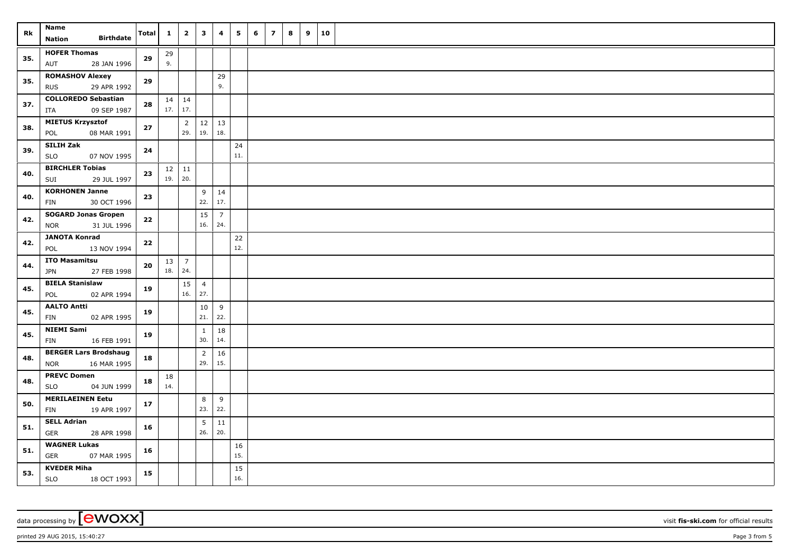| Rk  | <b>Name</b>                                        | Total  | $\mathbf{1}$ | $\overline{\mathbf{2}}$ | $\mathbf{3}$          | 4              | 5         | 6 | $\overline{z}$ | 8 | 9 | 10 |  |
|-----|----------------------------------------------------|--------|--------------|-------------------------|-----------------------|----------------|-----------|---|----------------|---|---|----|--|
|     | <b>Birthdate</b><br><b>Nation</b>                  |        |              |                         |                       |                |           |   |                |   |   |    |  |
| 35. | <b>HOFER Thomas</b>                                | 29     | 29           |                         |                       |                |           |   |                |   |   |    |  |
|     | AUT<br>28 JAN 1996                                 |        | 9.           |                         |                       |                |           |   |                |   |   |    |  |
| 35. | <b>ROMASHOV Alexey</b>                             | 29     |              |                         |                       | 29             |           |   |                |   |   |    |  |
|     | 29 APR 1992<br><b>RUS</b>                          |        |              |                         |                       | 9.             |           |   |                |   |   |    |  |
| 37. | <b>COLLOREDO Sebastian</b>                         | 28     |              | $14 \mid 14$            |                       |                |           |   |                |   |   |    |  |
|     | ITA<br>09 SEP 1987                                 |        | $17.$ 17.    |                         |                       |                |           |   |                |   |   |    |  |
| 38. | <b>MIETUS Krzysztof</b>                            | 27     |              | $\overline{2}$<br>29.   | 12<br>19.             | 13<br>18.      |           |   |                |   |   |    |  |
|     | POL<br>08 MAR 1991                                 |        |              |                         |                       |                |           |   |                |   |   |    |  |
| 39. | <b>SILIH Zak</b><br>07 NOV 1995<br><b>SLO</b>      | 24     |              |                         |                       |                | 24<br>11. |   |                |   |   |    |  |
|     | <b>BIRCHLER Tobias</b>                             |        |              | $12 \mid 11$            |                       |                |           |   |                |   |   |    |  |
| 40. | SUI<br>29 JUL 1997                                 | 23     | 19.          | 20.                     |                       |                |           |   |                |   |   |    |  |
|     | <b>KORHONEN Janne</b>                              |        |              |                         | 9                     | 14             |           |   |                |   |   |    |  |
| 40. | 30 OCT 1996<br>FIN                                 | 23     |              |                         | 22.                   | 17.            |           |   |                |   |   |    |  |
| 42. | <b>SOGARD Jonas Gropen</b>                         | 22     |              |                         | 15                    | $\overline{7}$ |           |   |                |   |   |    |  |
|     | 31 JUL 1996<br><b>NOR</b>                          |        |              |                         | 16.                   | 24.            |           |   |                |   |   |    |  |
| 42. | <b>JANOTA Konrad</b>                               | 22     |              |                         |                       |                | 22        |   |                |   |   |    |  |
|     | 13 NOV 1994<br>POL                                 |        |              |                         |                       |                | 12.       |   |                |   |   |    |  |
| 44. | <b>ITO Masamitsu</b>                               | 20     | 13           | $\overline{7}$          |                       |                |           |   |                |   |   |    |  |
|     | 27 FEB 1998<br><b>JPN</b>                          |        | 18.          | 24.                     |                       |                |           |   |                |   |   |    |  |
| 45. | <b>BIELA Stanislaw</b>                             | 19     |              | 15                      | $\overline{4}$        |                |           |   |                |   |   |    |  |
|     | 02 APR 1994<br>POL                                 |        |              | 16.                     | 27.                   |                |           |   |                |   |   |    |  |
| 45. | <b>AALTO Antti</b>                                 | 19     |              |                         | 10                    | 9              |           |   |                |   |   |    |  |
|     | FIN<br>02 APR 1995                                 |        |              |                         | 21.                   | 22.            |           |   |                |   |   |    |  |
| 45. | <b>NIEMI Sami</b>                                  | 19     |              |                         | $\mathbf{1}$<br>30.   | 18<br>14.      |           |   |                |   |   |    |  |
|     | FIN<br>16 FEB 1991<br><b>BERGER Lars Brodshaug</b> |        |              |                         |                       |                |           |   |                |   |   |    |  |
| 48. | <b>NOR</b><br>16 MAR 1995                          | 18     |              |                         | $\overline{2}$<br>29. | 16<br>15.      |           |   |                |   |   |    |  |
|     | <b>PREVC Domen</b>                                 |        | 18           |                         |                       |                |           |   |                |   |   |    |  |
| 48. | <b>SLO</b><br>04 JUN 1999                          | 18     | 14.          |                         |                       |                |           |   |                |   |   |    |  |
|     | <b>MERILAEINEN Eetu</b>                            | $17\,$ |              |                         | 8                     | 9              |           |   |                |   |   |    |  |
| 50. | 19 APR 1997<br>FIN                                 |        |              |                         | 23.                   | 22.            |           |   |                |   |   |    |  |
| 51. | <b>SELL Adrian</b>                                 | 16     |              |                         | $5\phantom{.0}$       | 11             |           |   |                |   |   |    |  |
|     | <b>GER</b><br>28 APR 1998                          |        |              |                         | 26.                   | 20.            |           |   |                |   |   |    |  |
| 51. | <b>WAGNER Lukas</b><br><b>GER</b><br>07 MAR 1995   | 16     |              |                         |                       |                | 16        |   |                |   |   |    |  |
|     |                                                    |        |              |                         |                       |                | 15.       |   |                |   |   |    |  |
| 53. | <b>KVEDER Miha</b>                                 | 15     |              |                         |                       |                | 15        |   |                |   |   |    |  |
|     | SLO<br>18 OCT 1993                                 |        |              |                         |                       |                | 16.       |   |                |   |   |    |  |

data processing by **CWOXX** visit **fis-ski.com** for official results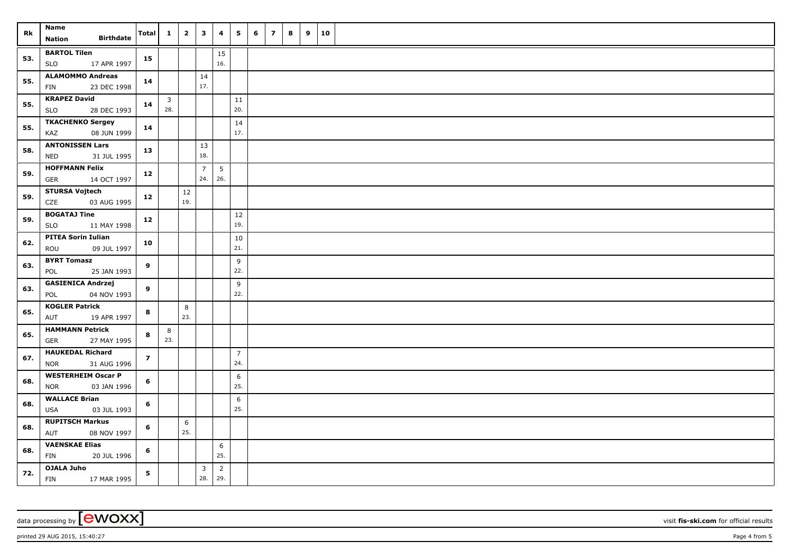| Rk  | <b>Name</b><br><b>Birthdate</b><br>Nation        | Total          | $\mathbf{1}$ | $\overline{\mathbf{2}}$ | $\overline{\mathbf{3}}$ | 4              | 5              | 6 | $\overline{z}$ | 8 | 9 | 10 |  |
|-----|--------------------------------------------------|----------------|--------------|-------------------------|-------------------------|----------------|----------------|---|----------------|---|---|----|--|
|     |                                                  |                |              |                         |                         |                |                |   |                |   |   |    |  |
| 53. | <b>BARTOL Tilen</b><br>17 APR 1997<br><b>SLO</b> | 15             |              |                         |                         | 15<br>16.      |                |   |                |   |   |    |  |
|     | <b>ALAMOMMO Andreas</b>                          |                |              |                         | 14                      |                |                |   |                |   |   |    |  |
| 55. | 23 DEC 1998<br>FIN                               | 14             |              |                         | 17.                     |                |                |   |                |   |   |    |  |
| 55. | <b>KRAPEZ David</b>                              | 14             | $\mathbf{3}$ |                         |                         |                | 11             |   |                |   |   |    |  |
|     | 28 DEC 1993<br><b>SLO</b>                        |                | 28.          |                         |                         |                | 20.            |   |                |   |   |    |  |
| 55. | <b>TKACHENKO Sergey</b>                          | 14             |              |                         |                         |                | 14             |   |                |   |   |    |  |
|     | KAZ<br>08 JUN 1999                               |                |              |                         |                         |                | 17.            |   |                |   |   |    |  |
| 58. | <b>ANTONISSEN Lars</b>                           | 13             |              |                         | 13                      |                |                |   |                |   |   |    |  |
|     | <b>NED</b><br>31 JUL 1995                        |                |              |                         | 18.                     |                |                |   |                |   |   |    |  |
| 59. | <b>HOFFMANN Felix</b><br>14 OCT 1997<br>GER      | 12             |              |                         | $\overline{7}$<br>24.   | 5<br>26.       |                |   |                |   |   |    |  |
|     | <b>STURSA Vojtech</b>                            |                |              | $12\,$                  |                         |                |                |   |                |   |   |    |  |
| 59. | CZE<br>03 AUG 1995                               | 12             |              | 19.                     |                         |                |                |   |                |   |   |    |  |
|     | <b>BOGATAJ Tine</b>                              |                |              |                         |                         |                |                |   |                |   |   |    |  |
| 59. | <b>SLO</b><br>11 MAY 1998                        | 12             |              |                         |                         |                | $12\,$<br>19.  |   |                |   |   |    |  |
|     | <b>PITEA Sorin Iulian</b>                        |                |              |                         |                         |                | 10             |   |                |   |   |    |  |
| 62. | 09 JUL 1997<br>ROU                               | 10             |              |                         |                         |                | 21.            |   |                |   |   |    |  |
|     | <b>BYRT Tomasz</b>                               |                |              |                         |                         |                | 9              |   |                |   |   |    |  |
| 63. | 25 JAN 1993<br>POL                               | 9              |              |                         |                         |                | 22.            |   |                |   |   |    |  |
| 63. | <b>GASIENICA Andrzej</b>                         | 9              |              |                         |                         |                | 9              |   |                |   |   |    |  |
|     | 04 NOV 1993<br>POL                               |                |              |                         |                         |                | 22.            |   |                |   |   |    |  |
| 65. | <b>KOGLER Patrick</b>                            | 8              |              | 8                       |                         |                |                |   |                |   |   |    |  |
|     | AUT<br>19 APR 1997                               |                |              | 23.                     |                         |                |                |   |                |   |   |    |  |
| 65. | <b>HAMMANN Petrick</b>                           | 8              | 8            |                         |                         |                |                |   |                |   |   |    |  |
|     | GER<br>27 MAY 1995                               |                | 23.          |                         |                         |                |                |   |                |   |   |    |  |
| 67. | <b>HAUKEDAL Richard</b>                          | $\overline{z}$ |              |                         |                         |                | $\overline{7}$ |   |                |   |   |    |  |
|     | <b>NOR</b><br>31 AUG 1996                        |                |              |                         |                         |                | 24.            |   |                |   |   |    |  |
| 68. | <b>WESTERHEIM Oscar P</b>                        | 6              |              |                         |                         |                | 6              |   |                |   |   |    |  |
|     | <b>NOR</b><br>03 JAN 1996                        |                |              |                         |                         |                | 25.            |   |                |   |   |    |  |
| 68. | <b>WALLACE Brian</b>                             | 6              |              |                         |                         |                | 6              |   |                |   |   |    |  |
|     | <b>USA</b><br>03 JUL 1993                        |                |              |                         |                         |                | 25.            |   |                |   |   |    |  |
| 68. | <b>RUPITSCH Markus</b>                           | 6              |              | 6                       |                         |                |                |   |                |   |   |    |  |
|     | AUT<br>08 NOV 1997                               |                |              | 25.                     |                         |                |                |   |                |   |   |    |  |
| 68. | <b>VAENSKAE Elias</b>                            | 6              |              |                         |                         | 6              |                |   |                |   |   |    |  |
|     | FIN<br>20 JUL 1996                               |                |              |                         |                         | 25.            |                |   |                |   |   |    |  |
| 72. | <b>OJALA Juho</b>                                | 5              |              |                         | $\overline{3}$          | $\overline{2}$ |                |   |                |   |   |    |  |
|     | FIN<br>17 MAR 1995                               |                |              |                         | 28.                     | 29.            |                |   |                |   |   |    |  |

data processing by **CWOXX** visit **fis-ski.com** for official results